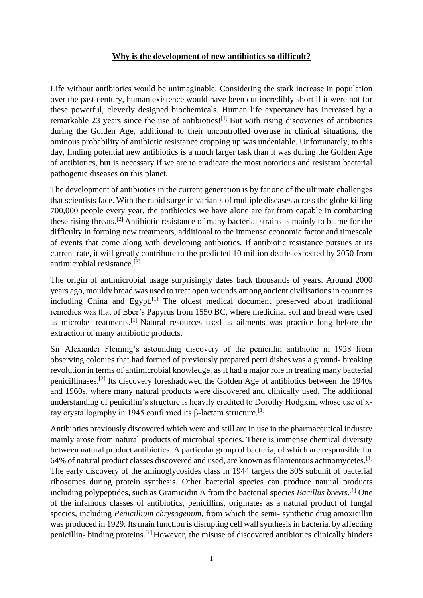## **Why is the development of new antibiotics so difficult?**

Life without antibiotics would be unimaginable. Considering the stark increase in population over the past century, human existence would have been cut incredibly short if it were not for these powerful, cleverly designed biochemicals. Human life expectancy has increased by a remarkable 23 years since the use of antibiotics!<sup>[1]</sup> But with rising discoveries of antibiotics during the Golden Age, additional to their uncontrolled overuse in clinical situations, the ominous probability of antibiotic resistance cropping up was undeniable. Unfortunately, to this day, finding potential new antibiotics is a much larger task than it was during the Golden Age of antibiotics, but is necessary if we are to eradicate the most notorious and resistant bacterial pathogenic diseases on this planet.

The development of antibiotics in the current generation is by far one of the ultimate challenges that scientists face. With the rapid surge in variants of multiple diseases across the globe killing 700,000 people every year, the antibiotics we have alone are far from capable in combatting these rising threats.[2] Antibiotic resistance of many bacterial strains is mainly to blame for the difficulty in forming new treatments, additional to the immense economic factor and timescale of events that come along with developing antibiotics. If antibiotic resistance pursues at its current rate, it will greatly contribute to the predicted 10 million deaths expected by 2050 from antimicrobial resistance. [3]

The origin of antimicrobial usage surprisingly dates back thousands of years. Around 2000 years ago, mouldy bread was used to treat open wounds among ancient civilisations in countries including China and Egypt.[1] The oldest medical document preserved about traditional remedies was that of Eber's Papyrus from 1550 BC, where medicinal soil and bread were used as microbe treatments.[1] Natural resources used as ailments was practice long before the extraction of many antibiotic products.

Sir Alexander Fleming's astounding discovery of the penicillin antibiotic in 1928 from observing colonies that had formed of previously prepared petri dishes was a ground- breaking revolution in terms of antimicrobial knowledge, as it had a major role in treating many bacterial penicillinases.<sup>[2]</sup> Its discovery foreshadowed the Golden Age of antibiotics between the 1940s and 1960s, where many natural products were discovered and clinically used. The additional understanding of penicillin's structure is heavily credited to Dorothy Hodgkin, whose use of xray crystallography in 1945 confirmed its β-lactam structure.<sup>[1]</sup>

Antibiotics previously discovered which were and still are in use in the pharmaceutical industry mainly arose from natural products of microbial species. There is immense chemical diversity between natural product antibiotics. A particular group of bacteria, of which are responsible for 64% of natural product classes discovered and used, are known as filamentous actinomycetes.[1] The early discovery of the aminoglycosides class in 1944 targets the 30S subunit of bacterial ribosomes during protein synthesis. Other bacterial species can produce natural products including polypeptides, such as Gramicidin A from the bacterial species *Bacillus brevis*. [1] One of the infamous classes of antibiotics, penicillins, originates as a natural product of fungal species, including *Penicillium chrysogenum,* from which the semi- synthetic drug amoxicillin was produced in 1929. Its main function is disrupting cell wall synthesis in bacteria, by affecting penicillin- binding proteins.<sup>[1]</sup> However, the misuse of discovered antibiotics clinically hinders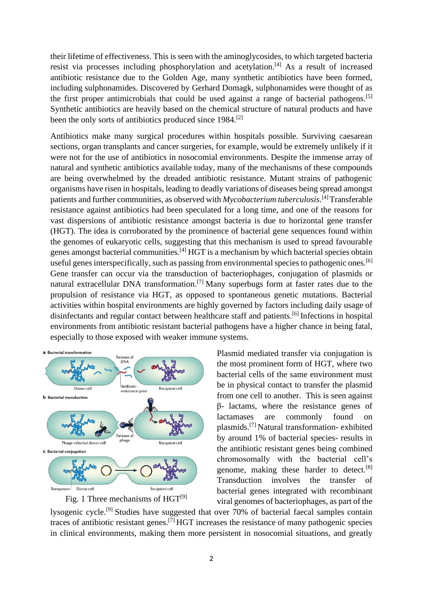their lifetime of effectiveness. This is seen with the aminoglycosides, to which targeted bacteria resist via processes including phosphorylation and acetylation.[4] As a result of increased antibiotic resistance due to the Golden Age, many synthetic antibiotics have been formed, including sulphonamides. Discovered by Gerhard Domagk, sulphonamides were thought of as the first proper antimicrobials that could be used against a range of bacterial pathogens.<sup>[5]</sup> Synthetic antibiotics are heavily based on the chemical structure of natural products and have been the only sorts of antibiotics produced since 1984.<sup>[2]</sup>

Antibiotics make many surgical procedures within hospitals possible. Surviving caesarean sections, organ transplants and cancer surgeries, for example, would be extremely unlikely if it were not for the use of antibiotics in nosocomial environments. Despite the immense array of natural and synthetic antibiotics available today, many of the mechanisms of these compounds are being overwhelmed by the dreaded antibiotic resistance. Mutant strains of pathogenic organisms have risen in hospitals, leading to deadly variations of diseases being spread amongst patients and further communities, as observed with *Mycobacterium tuberculosis*. [4] Transferable resistance against antibiotics had been speculated for a long time, and one of the reasons for vast dispersions of antibiotic resistance amongst bacteria is due to horizontal gene transfer (HGT). The idea is corroborated by the prominence of bacterial gene sequences found within the genomes of eukaryotic cells, suggesting that this mechanism is used to spread favourable genes amongst bacterial communities.[4] HGT is a mechanism by which bacterial species obtain useful genes interspecifically, such as passing from environmental species to pathogenic ones.<sup>[6]</sup> Gene transfer can occur via the transduction of bacteriophages, conjugation of plasmids or natural extracellular DNA transformation.[7] Many superbugs form at faster rates due to the propulsion of resistance via HGT, as opposed to spontaneous genetic mutations. Bacterial activities within hospital environments are highly governed by factors including daily usage of disinfectants and regular contact between healthcare staff and patients.<sup>[6]</sup> Infections in hospital environments from antibiotic resistant bacterial pathogens have a higher chance in being fatal, especially to those exposed with weaker immune systems.





Plasmid mediated transfer via conjugation is the most prominent form of HGT, where two bacterial cells of the same environment must be in physical contact to transfer the plasmid from one cell to another. This is seen against β- lactams, where the resistance genes of lactamases are commonly found on plasmids.[7] Natural transformation- exhibited by around 1% of bacterial species- results in the antibiotic resistant genes being combined chromosomally with the bacterial cell's genome, making these harder to detect.[8] Transduction involves the transfer of bacterial genes integrated with recombinant viral genomes of bacteriophages, as part of the

lysogenic cycle.[9] Studies have suggested that over 70% of bacterial faecal samples contain traces of antibiotic resistant genes.[7] HGT increases the resistance of many pathogenic species in clinical environments, making them more persistent in nosocomial situations, and greatly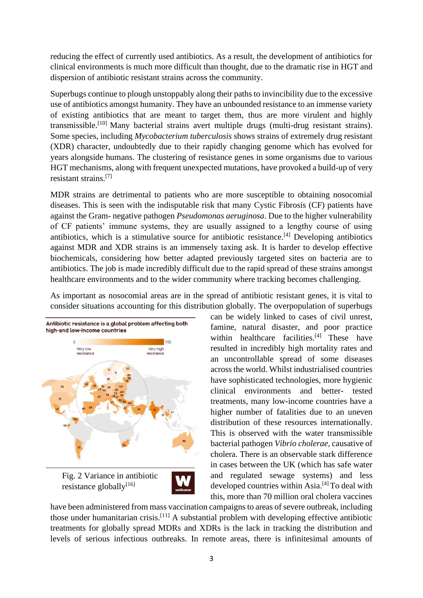reducing the effect of currently used antibiotics. As a result, the development of antibiotics for clinical environments is much more difficult than thought, due to the dramatic rise in HGT and dispersion of antibiotic resistant strains across the community.

Superbugs continue to plough unstoppably along their paths to invincibility due to the excessive use of antibiotics amongst humanity. They have an unbounded resistance to an immense variety of existing antibiotics that are meant to target them, thus are more virulent and highly transmissible.<sup>[10]</sup> Many bacterial strains avert multiple drugs (multi-drug resistant strains). Some species, including *Mycobacterium tuberculosis* shows strains of extremely drug resistant (XDR) character, undoubtedly due to their rapidly changing genome which has evolved for years alongside humans. The clustering of resistance genes in some organisms due to various HGT mechanisms, along with frequent unexpected mutations, have provoked a build-up of very resistant strains.[7]

MDR strains are detrimental to patients who are more susceptible to obtaining nosocomial diseases. This is seen with the indisputable risk that many Cystic Fibrosis (CF) patients have against the Gram- negative pathogen *Pseudomonas aeruginosa*. Due to the higher vulnerability of CF patients' immune systems, they are usually assigned to a lengthy course of using antibiotics, which is a stimulative source for antibiotic resistance.[4] Developing antibiotics against MDR and XDR strains is an immensely taxing ask. It is harder to develop effective biochemicals, considering how better adapted previously targeted sites on bacteria are to antibiotics. The job is made incredibly difficult due to the rapid spread of these strains amongst healthcare environments and to the wider community where tracking becomes challenging.

As important as nosocomial areas are in the spread of antibiotic resistant genes, it is vital to consider situations accounting for this distribution globally. The overpopulation of superbugs



Fig. 2 Variance in antibiotic resistance globally $[16]$ 



can be widely linked to cases of civil unrest, famine, natural disaster, and poor practice within healthcare facilities. $[4]$  These have resulted in incredibly high mortality rates and an uncontrollable spread of some diseases across the world. Whilst industrialised countries have sophisticated technologies, more hygienic clinical environments and better- tested treatments, many low-income countries have a higher number of fatalities due to an uneven distribution of these resources internationally. This is observed with the water transmissible bacterial pathogen *Vibrio cholerae*, causative of cholera. There is an observable stark difference in cases between the UK (which has safe water and regulated sewage systems) and less developed countries within  $\text{Asia.}^{[4]}$  To deal with this, more than 70 million oral cholera vaccines

have been administered from mass vaccination campaigns to areas of severe outbreak, including those under humanitarian crisis.[11] A substantial problem with developing effective antibiotic treatments for globally spread MDRs and XDRs is the lack in tracking the distribution and levels of serious infectious outbreaks. In remote areas, there is infinitesimal amounts of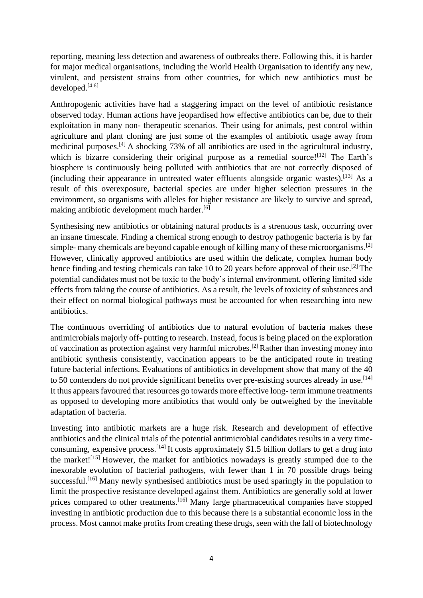reporting, meaning less detection and awareness of outbreaks there. Following this, it is harder for major medical organisations, including the World Health Organisation to identify any new, virulent, and persistent strains from other countries, for which new antibiotics must be developed.<sup>[4,6]</sup>

Anthropogenic activities have had a staggering impact on the level of antibiotic resistance observed today. Human actions have jeopardised how effective antibiotics can be, due to their exploitation in many non- therapeutic scenarios. Their using for animals, pest control within agriculture and plant cloning are just some of the examples of antibiotic usage away from medicinal purposes.[4] A shocking 73% of all antibiotics are used in the agricultural industry, which is bizarre considering their original purpose as a remedial source! $[12]$  The Earth's biosphere is continuously being polluted with antibiotics that are not correctly disposed of (including their appearance in untreated water effluents alongside organic wastes).[13] As a result of this overexposure, bacterial species are under higher selection pressures in the environment, so organisms with alleles for higher resistance are likely to survive and spread, making antibiotic development much harder.<sup>[6]</sup>

Synthesising new antibiotics or obtaining natural products is a strenuous task, occurring over an insane timescale. Finding a chemical strong enough to destroy pathogenic bacteria is by far simple- many chemicals are beyond capable enough of killing many of these microorganisms.<sup>[2]</sup> However, clinically approved antibiotics are used within the delicate, complex human body hence finding and testing chemicals can take 10 to 20 years before approval of their use.<sup>[2]</sup> The potential candidates must not be toxic to the body's internal environment, offering limited side effects from taking the course of antibiotics. As a result, the levels of toxicity of substances and their effect on normal biological pathways must be accounted for when researching into new antibiotics.

The continuous overriding of antibiotics due to natural evolution of bacteria makes these antimicrobials majorly off- putting to research. Instead, focus is being placed on the exploration of vaccination as protection against very harmful microbes.[2] Rather than investing money into antibiotic synthesis consistently, vaccination appears to be the anticipated route in treating future bacterial infections. Evaluations of antibiotics in development show that many of the 40 to 50 contenders do not provide significant benefits over pre-existing sources already in use.<sup>[14]</sup> It thus appears favoured that resources go towards more effective long- term immune treatments as opposed to developing more antibiotics that would only be outweighed by the inevitable adaptation of bacteria.

Investing into antibiotic markets are a huge risk. Research and development of effective antibiotics and the clinical trials of the potential antimicrobial candidates results in a very timeconsuming, expensive process.[14] It costs approximately \$1.5 billion dollars to get a drug into the market!<sup>[15]</sup> However, the market for antibiotics nowadays is greatly stumped due to the inexorable evolution of bacterial pathogens, with fewer than 1 in 70 possible drugs being successful.<sup>[16]</sup> Many newly synthesised antibiotics must be used sparingly in the population to limit the prospective resistance developed against them. Antibiotics are generally sold at lower prices compared to other treatments.<sup>[16]</sup> Many large pharmaceutical companies have stopped investing in antibiotic production due to this because there is a substantial economic loss in the process. Most cannot make profits from creating these drugs, seen with the fall of biotechnology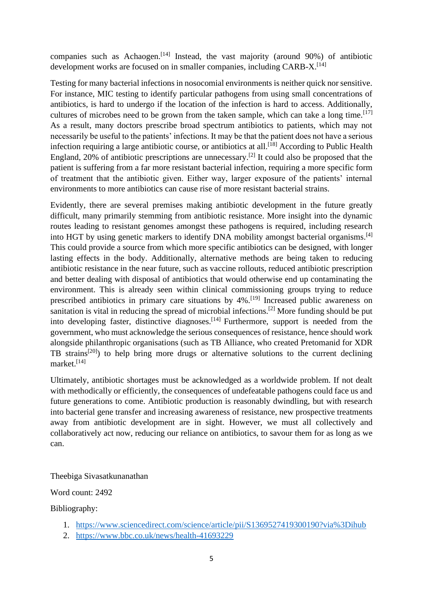companies such as Achaogen.<sup>[14]</sup> Instead, the vast majority (around  $90\%$ ) of antibiotic development works are focused on in smaller companies, including CARB-X.<sup>[14]</sup>

Testing for many bacterial infections in nosocomial environments is neither quick nor sensitive. For instance, MIC testing to identify particular pathogens from using small concentrations of antibiotics, is hard to undergo if the location of the infection is hard to access. Additionally, cultures of microbes need to be grown from the taken sample, which can take a long time.<sup>[17]</sup> As a result, many doctors prescribe broad spectrum antibiotics to patients, which may not necessarily be useful to the patients' infections. It may be that the patient does not have a serious infection requiring a large antibiotic course, or antibiotics at all.<sup>[18]</sup> According to Public Health England, 20% of antibiotic prescriptions are unnecessary.<sup>[2]</sup> It could also be proposed that the patient is suffering from a far more resistant bacterial infection, requiring a more specific form of treatment that the antibiotic given. Either way, larger exposure of the patients' internal environments to more antibiotics can cause rise of more resistant bacterial strains.

Evidently, there are several premises making antibiotic development in the future greatly difficult, many primarily stemming from antibiotic resistance. More insight into the dynamic routes leading to resistant genomes amongst these pathogens is required, including research into HGT by using genetic markers to identify DNA mobility amongst bacterial organisms.[4] This could provide a source from which more specific antibiotics can be designed, with longer lasting effects in the body. Additionally, alternative methods are being taken to reducing antibiotic resistance in the near future, such as vaccine rollouts, reduced antibiotic prescription and better dealing with disposal of antibiotics that would otherwise end up contaminating the environment. This is already seen within clinical commissioning groups trying to reduce prescribed antibiotics in primary care situations by 4%.<sup>[19]</sup> Increased public awareness on sanitation is vital in reducing the spread of microbial infections.[2] More funding should be put into developing faster, distinctive diagnoses.<sup>[14]</sup> Furthermore, support is needed from the government, who must acknowledge the serious consequences of resistance, hence should work alongside philanthropic organisations (such as TB Alliance, who created Pretomanid for XDR TB strains<sup>[20]</sup>) to help bring more drugs or alternative solutions to the current declining market.[14]

Ultimately, antibiotic shortages must be acknowledged as a worldwide problem. If not dealt with methodically or efficiently, the consequences of undefeatable pathogens could face us and future generations to come. Antibiotic production is reasonably dwindling, but with research into bacterial gene transfer and increasing awareness of resistance, new prospective treatments away from antibiotic development are in sight. However, we must all collectively and collaboratively act now, reducing our reliance on antibiotics, to savour them for as long as we can.

## Theebiga Sivasatkunanathan

Word count: 2492

Bibliography:

- 1. <https://www.sciencedirect.com/science/article/pii/S1369527419300190?via%3Dihub>
- 2. <https://www.bbc.co.uk/news/health-41693229>